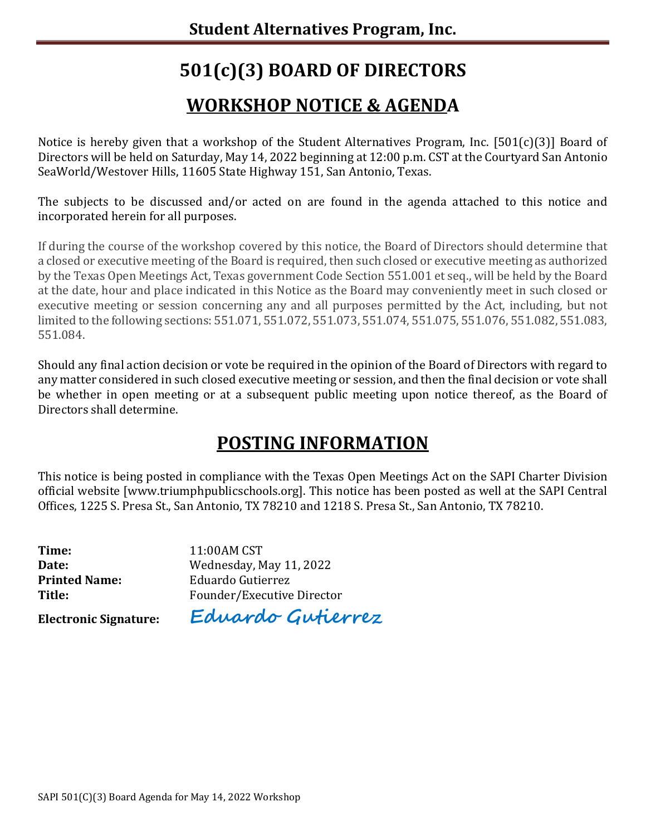# **501(c)(3) BOARD OF DIRECTORS**

## **WORKSHOP NOTICE & AGENDA**

Notice is hereby given that a workshop of the Student Alternatives Program, Inc. [501(c)(3)] Board of Directors will be held on Saturday, May 14, 2022 beginning at 12:00 p.m. CST at the Courtyard San Antonio SeaWorld/Westover Hills, 11605 State Highway 151, San Antonio, Texas.

The subjects to be discussed and/or acted on are found in the agenda attached to this notice and incorporated herein for all purposes.

If during the course of the workshop covered by this notice, the Board of Directors should determine that a closed or executive meeting of the Board is required, then such closed or executive meeting as authorized by the Texas Open Meetings Act, Texas government Code Section 551.001 et seq., will be held by the Board at the date, hour and place indicated in this Notice as the Board may conveniently meet in such closed or executive meeting or session concerning any and all purposes permitted by the Act, including, but not limited to the following sections: 551.071, 551.072, 551.073, 551.074, 551.075, 551.076, 551.082, 551.083, 551.084.

Should any final action decision or vote be required in the opinion of the Board of Directors with regard to any matter considered in such closed executive meeting or session, and then the final decision or vote shall be whether in open meeting or at a subsequent public meeting upon notice thereof, as the Board of Directors shall determine.

## **POSTING INFORMATION**

This notice is being posted in compliance with the Texas Open Meetings Act on the SAPI Charter Division official website [www.triumphpublicschools.org]. This notice has been posted as well at the SAPI Central Offices, 1225 S. Presa St., San Antonio, TX 78210 and 1218 S. Presa St., San Antonio, TX 78210.

**Time:** 11:00AM CST<br> **Date:** Wednesday, N

**Date:** Wednesday, May 11, 2022<br> **Printed Name:** Eduardo Gutierrez **Printed Name:** Eduardo Gutierrez<br> **Title:** Founder/Executive Founder/Executive Director

**Electronic Signature: Eduardo Gutierrez**